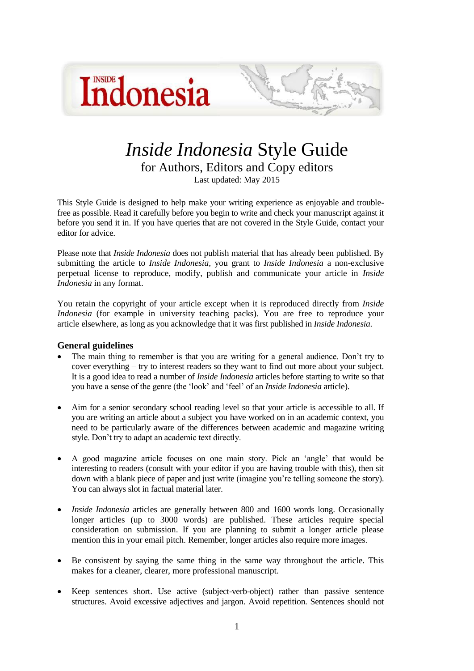



# *Inside Indonesia* Style Guide for Authors, Editors and Copy editors Last updated: May 2015

This Style Guide is designed to help make your writing experience as enjoyable and troublefree as possible. Read it carefully before you begin to write and check your manuscript against it before you send it in. If you have queries that are not covered in the Style Guide, contact your editor for advice.

Please note that *Inside Indonesia* does not publish material that has already been published. By submitting the article to *Inside Indonesia*, you grant to *Inside Indonesia* a non-exclusive perpetual license to reproduce, modify, publish and communicate your article in *Inside Indonesia* in any format.

You retain the copyright of your article except when it is reproduced directly from *Inside Indonesia* (for example in university teaching packs). You are free to reproduce your article elsewhere, as long as you acknowledge that it was first published in *Inside Indonesia*.

#### **General guidelines**

- The main thing to remember is that you are writing for a general audience. Don't try to cover everything – try to interest readers so they want to find out more about your subject. It is a good idea to read a number of *Inside Indonesia* articles before starting to write so that you have a sense of the genre (the 'look' and 'feel' of an *Inside Indonesia* article).
- Aim for a senior secondary school reading level so that your article is accessible to all. If you are writing an article about a subject you have worked on in an academic context, you need to be particularly aware of the differences between academic and magazine writing style. Don't try to adapt an academic text directly.
- A good magazine article focuses on one main story. Pick an 'angle' that would be interesting to readers (consult with your editor if you are having trouble with this), then sit down with a blank piece of paper and just write (imagine you're telling someone the story). You can always slot in factual material later.
- *Inside Indonesia* articles are generally between 800 and 1600 words long. Occasionally longer articles (up to 3000 words) are published. These articles require special consideration on submission. If you are planning to submit a longer article please mention this in your email pitch. Remember, longer articles also require more images.
- Be consistent by saying the same thing in the same way throughout the article. This makes for a cleaner, clearer, more professional manuscript.
- Keep sentences short. Use active (subject-verb-object) rather than passive sentence structures. Avoid excessive adjectives and jargon. Avoid repetition. Sentences should not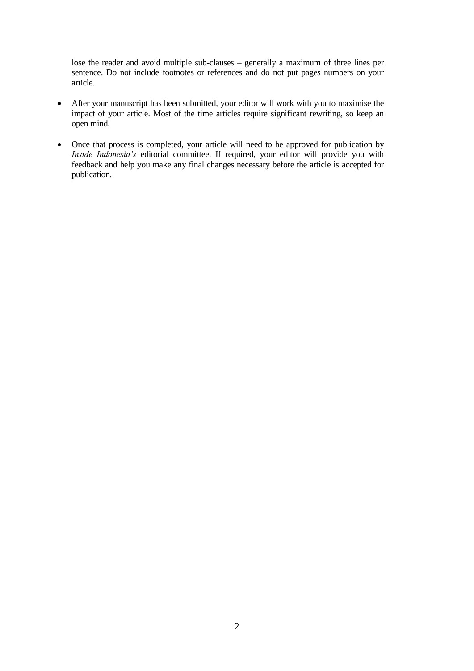lose the reader and avoid multiple sub-clauses – generally a maximum of three lines per sentence. Do not include footnotes or references and do not put pages numbers on your article.

- After your manuscript has been submitted, your editor will work with you to maximise the impact of your article. Most of the time articles require significant rewriting, so keep an open mind.
- Once that process is completed, your article will need to be approved for publication by *Inside Indonesia's* editorial committee. If required, your editor will provide you with feedback and help you make any final changes necessary before the article is accepted for publication.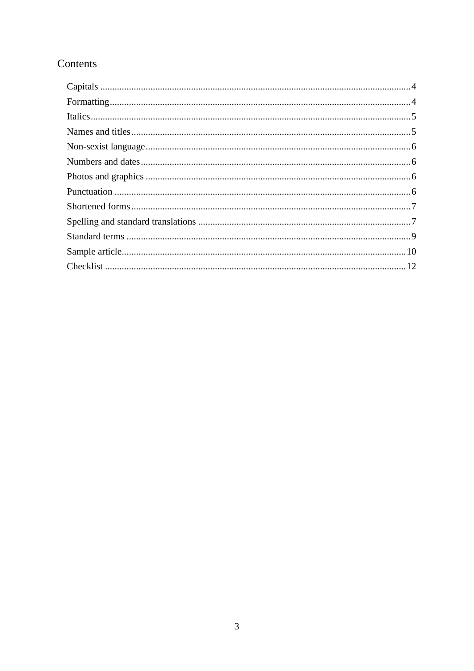## Contents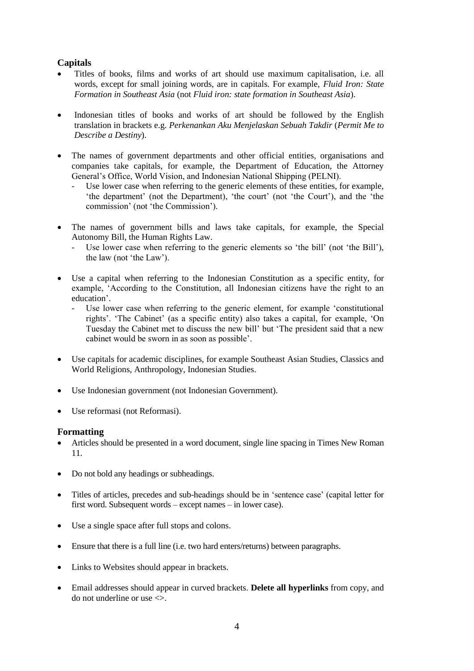## <span id="page-3-0"></span>**Capitals**

- Titles of books, films and works of art should use maximum capitalisation, i.e. all words, except for small joining words, are in capitals. For example, *Fluid Iron: State Formation in Southeast Asia* (not *Fluid iron: state formation in Southeast Asia*).
- Indonesian titles of books and works of art should be followed by the English translation in brackets e.g. *Perkenankan Aku Menjelaskan Sebuah Takdir* (*Permit Me to Describe a Destiny*).
- The names of government departments and other official entities, organisations and companies take capitals, for example, the Department of Education, the Attorney General's Office, World Vision, and Indonesian National Shipping (PELNI).
	- Use lower case when referring to the generic elements of these entities, for example, 'the department' (not the Department), 'the court' (not 'the Court'), and the 'the commission' (not 'the Commission').
- The names of government bills and laws take capitals, for example, the Special Autonomy Bill, the Human Rights Law.
	- Use lower case when referring to the generic elements so 'the bill' (not 'the Bill'), the law (not 'the Law').
- Use a capital when referring to the Indonesian Constitution as a specific entity, for example, 'According to the Constitution, all Indonesian citizens have the right to an education'.
	- Use lower case when referring to the generic element, for example 'constitutional rights'. 'The Cabinet' (as a specific entity) also takes a capital, for example, 'On Tuesday the Cabinet met to discuss the new bill' but 'The president said that a new cabinet would be sworn in as soon as possible'.
- Use capitals for academic disciplines, for example Southeast Asian Studies, Classics and World Religions, Anthropology, Indonesian Studies.
- Use Indonesian government (not Indonesian Government).
- Use reformasi (not Reformasi).

## <span id="page-3-1"></span>**Formatting**

- Articles should be presented in a word document, single line spacing in Times New Roman 11.
- Do not bold any headings or subheadings.
- Titles of articles, precedes and sub-headings should be in 'sentence case' (capital letter for first word. Subsequent words – except names – in lower case).
- Use a single space after full stops and colons.
- Ensure that there is a full line (i.e. two hard enters/returns) between paragraphs.
- Links to Websites should appear in brackets.
- Email addresses should appear in curved brackets. **Delete all hyperlinks** from copy, and do not underline or use  $\leq$ .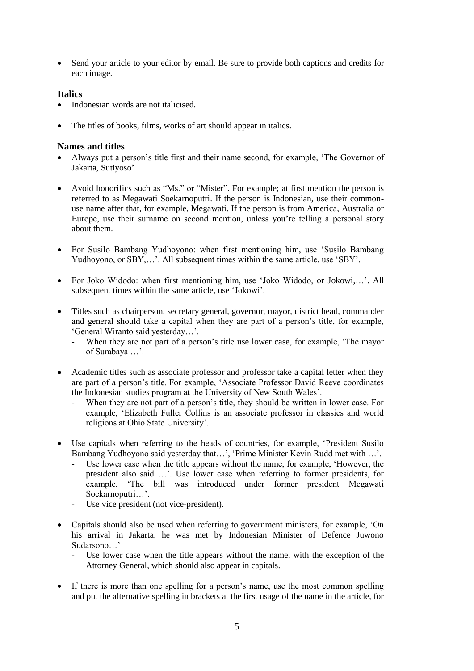Send your article to your editor by email. Be sure to provide both captions and credits for each image.

## <span id="page-4-0"></span>**Italics**

- Indonesian words are not italicised.
- The titles of books, films, works of art should appear in italics.

## <span id="page-4-1"></span>**Names and titles**

- Always put a person's title first and their name second, for example, 'The Governor of Jakarta, Sutiyoso'
- Avoid honorifics such as "Ms." or "Mister". For example; at first mention the person is referred to as Megawati Soekarnoputri. If the person is Indonesian, use their commonuse name after that, for example, Megawati. If the person is from America, Australia or Europe, use their surname on second mention, unless you're telling a personal story about them.
- For Susilo Bambang Yudhoyono: when first mentioning him, use 'Susilo Bambang Yudhoyono, or SBY....'. All subsequent times within the same article, use 'SBY'.
- For Joko Widodo: when first mentioning him, use 'Joko Widodo, or Jokowi,…'. All subsequent times within the same article, use 'Jokowi'.
- Titles such as chairperson, secretary general, governor, mayor, district head, commander and general should take a capital when they are part of a person's title, for example, 'General Wiranto said yesterday…'.
	- When they are not part of a person's title use lower case, for example, 'The mayor of Surabaya …'.
- Academic titles such as associate professor and professor take a capital letter when they are part of a person's title. For example, 'Associate Professor David Reeve coordinates the Indonesian studies program at the University of New South Wales'.
	- When they are not part of a person's title, they should be written in lower case. For example, 'Elizabeth Fuller Collins is an associate professor in classics and world religions at Ohio State University'.
- Use capitals when referring to the heads of countries, for example, 'President Susilo Bambang Yudhoyono said yesterday that…', 'Prime Minister Kevin Rudd met with …'.
	- Use lower case when the title appears without the name, for example, 'However, the president also said …'. Use lower case when referring to former presidents, for example, 'The bill was introduced under former president Megawati Soekarnoputri…'.
	- Use vice president (not vice-president).
- Capitals should also be used when referring to government ministers, for example, 'On his arrival in Jakarta, he was met by Indonesian Minister of Defence Juwono Sudarsono…'
	- Use lower case when the title appears without the name, with the exception of the Attorney General, which should also appear in capitals.
- If there is more than one spelling for a person's name, use the most common spelling and put the alternative spelling in brackets at the first usage of the name in the article, for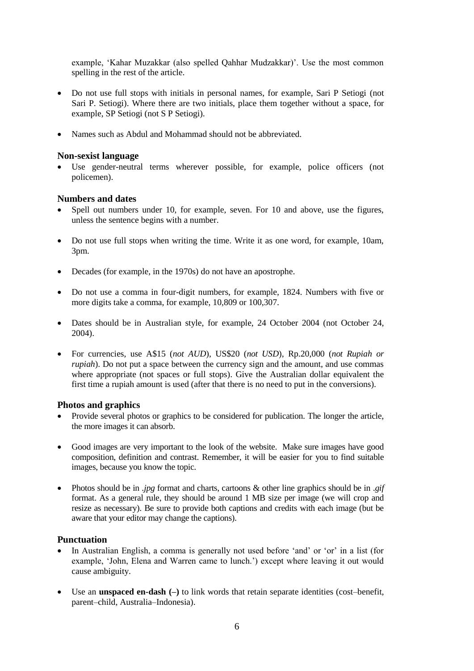example, 'Kahar Muzakkar (also spelled Qahhar Mudzakkar)'. Use the most common spelling in the rest of the article.

- Do not use full stops with initials in personal names, for example, Sari P Setiogi (not Sari P. Setiogi). Where there are two initials, place them together without a space, for example, SP Setiogi (not S P Setiogi).
- Names such as Abdul and Mohammad should not be abbreviated.

## <span id="page-5-0"></span>**Non-sexist language**

 Use gender-neutral terms wherever possible, for example, police officers (not policemen).

### <span id="page-5-1"></span>**Numbers and dates**

- Spell out numbers under 10, for example, seven. For 10 and above, use the figures, unless the sentence begins with a number.
- Do not use full stops when writing the time. Write it as one word, for example, 10am, 3pm.
- Decades (for example, in the 1970s) do not have an apostrophe.
- Do not use a comma in four-digit numbers, for example, 1824. Numbers with five or more digits take a comma, for example, 10,809 or 100,307.
- Dates should be in Australian style, for example, 24 October 2004 (not October 24, 2004).
- For currencies, use A\$15 (*not AUD*), US\$20 (*not USD*), Rp.20,000 (*not Rupiah or rupiah*). Do not put a space between the currency sign and the amount, and use commas where appropriate (not spaces or full stops). Give the Australian dollar equivalent the first time a rupiah amount is used (after that there is no need to put in the conversions).

#### <span id="page-5-2"></span>**Photos and graphics**

- Provide several photos or graphics to be considered for publication. The longer the article, the more images it can absorb.
- Good images are very important to the look of the website. Make sure images have good composition, definition and contrast. Remember, it will be easier for you to find suitable images, because you know the topic.
- Photos should be in *.jpg* format and charts, cartoons & other line graphics should be in .*gif* format. As a general rule, they should be around 1 MB size per image (we will crop and resize as necessary). Be sure to provide both captions and credits with each image (but be aware that your editor may change the captions).

## <span id="page-5-3"></span>**Punctuation**

- In Australian English, a comma is generally not used before 'and' or 'or' in a list (for example, 'John, Elena and Warren came to lunch.') except where leaving it out would cause ambiguity.
- Use an **unspaced en-dash (–)** to link words that retain separate identities (cost–benefit, parent–child, Australia–Indonesia).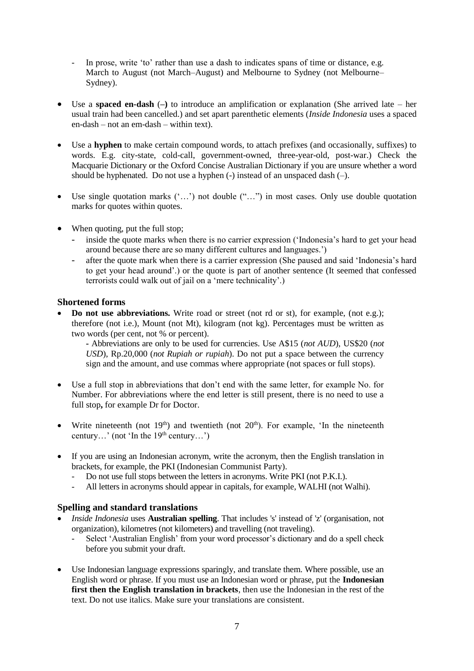- In prose, write 'to' rather than use a dash to indicates spans of time or distance, e.g. March to August (not March–August) and Melbourne to Sydney (not Melbourne– Sydney).
- Use a **spaced en-dash** (**–)** to introduce an amplification or explanation (She arrived late her usual train had been cancelled.) and set apart parenthetic elements (*Inside Indonesia* uses a spaced en-dash – not an em-dash – within text).
- Use a **hyphen** to make certain compound words, to attach prefixes (and occasionally, suffixes) to words. E.g. city-state, cold-call, government-owned, three-year-old, post-war.) Check the Macquarie Dictionary or the Oxford Concise Australian Dictionary if you are unsure whether a word should be hyphenated. Do not use a hyphen (-) instead of an unspaced dash (–).
- Use single quotation marks ('…') not double ("…") in most cases. Only use double quotation marks for quotes within quotes.
- When quoting, put the full stop;
	- inside the quote marks when there is no carrier expression ('Indonesia's hard to get your head around because there are so many different cultures and languages.')
	- after the quote mark when there is a carrier expression (She paused and said 'Indonesia's hard to get your head around'.) or the quote is part of another sentence (It seemed that confessed terrorists could walk out of jail on a 'mere technicality'.)

### <span id="page-6-0"></span>**Shortened forms**

**Do not use abbreviations.** Write road or street (not rd or st), for example, (not e.g.); therefore (not i.e.), Mount (not Mt), kilogram (not kg). Percentages must be written as two words (per cent, not % or percent).

**-** Abbreviations are only to be used for currencies. Use A\$15 (*not AUD*), US\$20 (*not USD*), Rp.20,000 (*not Rupiah or rupiah*). Do not put a space between the currency sign and the amount, and use commas where appropriate (not spaces or full stops).

- Use a full stop in abbreviations that don't end with the same letter, for example No. for Number. For abbreviations where the end letter is still present, there is no need to use a full stop**,** for example Dr for Doctor.
- Write nineteenth (not  $19<sup>th</sup>$ ) and twentieth (not  $20<sup>th</sup>$ ). For example, 'In the nineteenth century...' (not 'In the  $19<sup>th</sup>$  century...')
- If you are using an Indonesian acronym, write the acronym, then the English translation in brackets, for example, the PKI (Indonesian Communist Party).
	- Do not use full stops between the letters in acronyms. Write PKI (not P.K.I.).<br>All letters in acronyms should appear in capitals, for example, WAI HI (not W
	- All letters in acronyms should appear in capitals, for example, WALHI (not Walhi).

## <span id="page-6-1"></span>**Spelling and standard translations**

- *Inside Indonesia* uses **Australian spelling**. That includes 's' instead of 'z' (organisation, not organization), kilometres (not kilometers) and travelling (not traveling).
	- Select 'Australian English' from your word processor's dictionary and do a spell check before you submit your draft.
- Use Indonesian language expressions sparingly, and translate them. Where possible, use an English word or phrase. If you must use an Indonesian word or phrase, put the **Indonesian first then the English translation in brackets**, then use the Indonesian in the rest of the text. Do not use italics. Make sure your translations are consistent.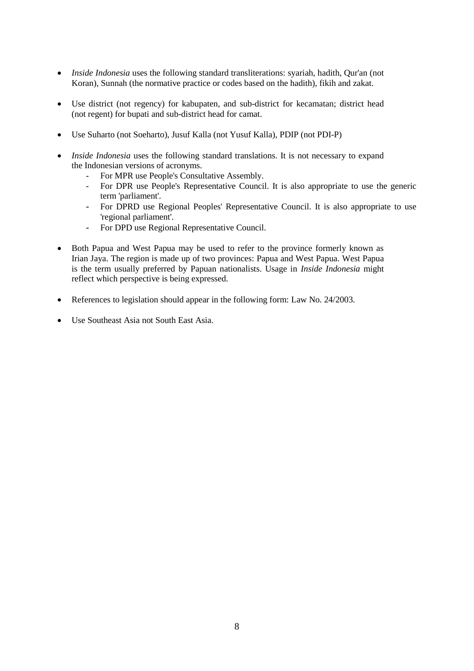- *Inside Indonesia* uses the following standard transliterations: syariah, hadith, Qur'an (not Koran), Sunnah (the normative practice or codes based on the hadith), fikih and zakat.
- Use district (not regency) for kabupaten, and sub-district for kecamatan; district head (not regent) for bupati and sub-district head for camat.
- Use Suharto (not Soeharto), Jusuf Kalla (not Yusuf Kalla), PDIP (not PDI-P)
- *Inside Indonesia* uses the following standard translations. It is not necessary to expand the Indonesian versions of acronyms.
	- For MPR use People's Consultative Assembly.
	- For DPR use People's Representative Council. It is also appropriate to use the generic term 'parliament'.
	- For DPRD use Regional Peoples' Representative Council. It is also appropriate to use 'regional parliament'.
	- For DPD use Regional Representative Council.
- Both Papua and West Papua may be used to refer to the province formerly known as Irian Jaya. The region is made up of two provinces: Papua and West Papua. West Papua is the term usually preferred by Papuan nationalists. Usage in *Inside Indonesia* might reflect which perspective is being expressed.
- References to legislation should appear in the following form: Law No. 24/2003.
- Use Southeast Asia not South East Asia.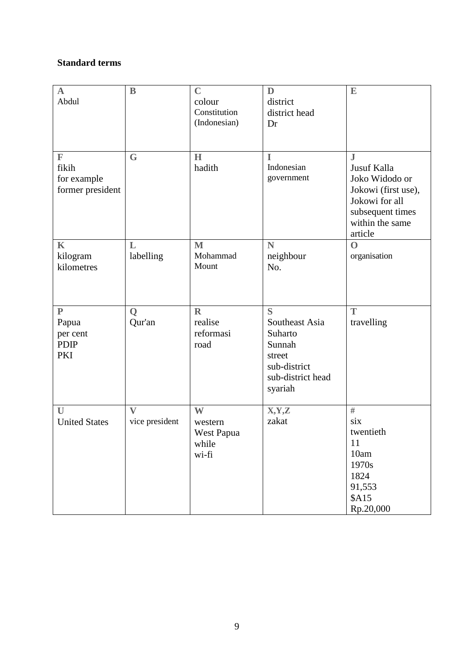## <span id="page-8-0"></span>**Standard terms**

| $\mathbf A$<br>Abdul                                     | $\mathbf B$                    | $\mathbf C$<br>colour<br>Constitution<br>(Indonesian) | D<br>district<br>district head<br>Dr                                                               | $\mathbf E$                                                                                                                         |
|----------------------------------------------------------|--------------------------------|-------------------------------------------------------|----------------------------------------------------------------------------------------------------|-------------------------------------------------------------------------------------------------------------------------------------|
| $\mathbb{F}$<br>fikih<br>for example<br>former president | $\mathbf G$                    | H<br>hadith                                           | I<br>Indonesian<br>government                                                                      | $\bf J$<br>Jusuf Kalla<br>Joko Widodo or<br>Jokowi (first use),<br>Jokowi for all<br>subsequent times<br>within the same<br>article |
| $\mathbf K$<br>kilogram<br>kilometres                    | L<br>labelling                 | $\mathbf{M}$<br>Mohammad<br>Mount                     | N<br>neighbour<br>No.                                                                              | $\mathbf 0$<br>organisation                                                                                                         |
| $\mathbf{P}$<br>Papua<br>per cent<br><b>PDIP</b><br>PKI  | $\mathbf Q$<br>Qur'an          | $\mathbb{R}$<br>realise<br>reformasi<br>road          | S<br>Southeast Asia<br>Suharto<br>Sunnah<br>street<br>sub-district<br>sub-district head<br>syariah | T<br>travelling                                                                                                                     |
| U<br><b>United States</b>                                | $\mathbf{V}$<br>vice president | W<br>western<br>West Papua<br>while<br>wi-fi          | X,Y,Z<br>zakat                                                                                     | #<br>six<br>twentieth<br>11<br>10am<br>1970s<br>1824<br>91,553<br>\$A15<br>Rp.20,000                                                |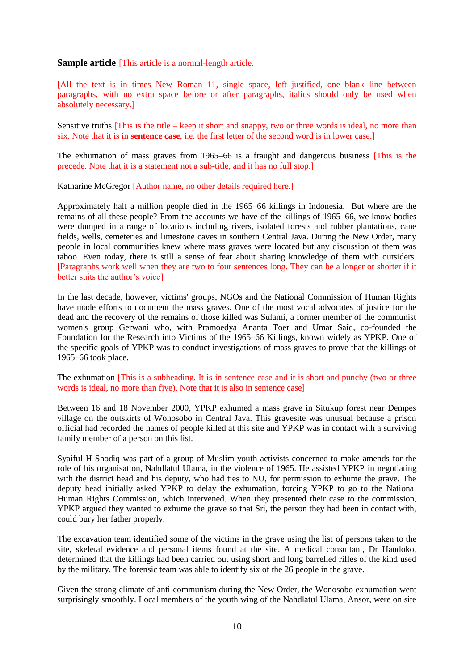#### <span id="page-9-0"></span>**Sample article** [This article is a normal-length article.]

[All the text is in times New Roman 11, single space, left justified, one blank line between paragraphs, with no extra space before or after paragraphs, italics should only be used when absolutely necessary.]

Sensitive truths  $[This is the title - keep it short and snappy, two or three words is ideal, no more than$ six. Note that it is in **sentence case**, i.e. the first letter of the second word is in lower case.]

The exhumation of mass graves from 1965–66 is a fraught and dangerous business [This is the precede. Note that it is a statement not a sub-title, and it has no full stop.]

Katharine McGregor [Author name, no other details required here.]

Approximately half a million people died in the 1965–66 killings in Indonesia. But where are the remains of all these people? From the accounts we have of the killings of 1965–66, we know bodies were dumped in a range of locations including rivers, isolated forests and rubber plantations, cane fields, wells, cemeteries and limestone caves in southern Central Java. During the New Order, many people in local communities knew where mass graves were located but any discussion of them was taboo. Even today, there is still a sense of fear about sharing knowledge of them with outsiders. [Paragraphs work well when they are two to four sentences long. They can be a longer or shorter if it better suits the author's voice]

In the last decade, however, victims' groups, NGOs and the National Commission of Human Rights have made efforts to document the mass graves. One of the most vocal advocates of justice for the dead and the recovery of the remains of those killed was Sulami, a former member of the communist women's group Gerwani who, with Pramoedya Ananta Toer and Umar Said, co-founded the Foundation for the Research into Victims of the 1965–66 Killings, known widely as YPKP. One of the specific goals of YPKP was to conduct investigations of mass graves to prove that the killings of 1965–66 took place.

The exhumation [This is a subheading. It is in sentence case and it is short and punchy (two or three words is ideal, no more than five). Note that it is also in sentence case]

Between 16 and 18 November 2000, YPKP exhumed a mass grave in Situkup forest near Dempes village on the outskirts of Wonosobo in Central Java. This gravesite was unusual because a prison official had recorded the names of people killed at this site and YPKP was in contact with a surviving family member of a person on this list.

Syaiful H Shodiq was part of a group of Muslim youth activists concerned to make amends for the role of his organisation, Nahdlatul Ulama, in the violence of 1965. He assisted YPKP in negotiating with the district head and his deputy, who had ties to NU, for permission to exhume the grave. The deputy head initially asked YPKP to delay the exhumation, forcing YPKP to go to the National Human Rights Commission, which intervened. When they presented their case to the commission, YPKP argued they wanted to exhume the grave so that Sri, the person they had been in contact with, could bury her father properly.

The excavation team identified some of the victims in the grave using the list of persons taken to the site, skeletal evidence and personal items found at the site. A medical consultant, Dr Handoko, determined that the killings had been carried out using short and long barrelled rifles of the kind used by the military. The forensic team was able to identify six of the 26 people in the grave.

Given the strong climate of anti-communism during the New Order, the Wonosobo exhumation went surprisingly smoothly. Local members of the youth wing of the Nahdlatul Ulama, Ansor, were on site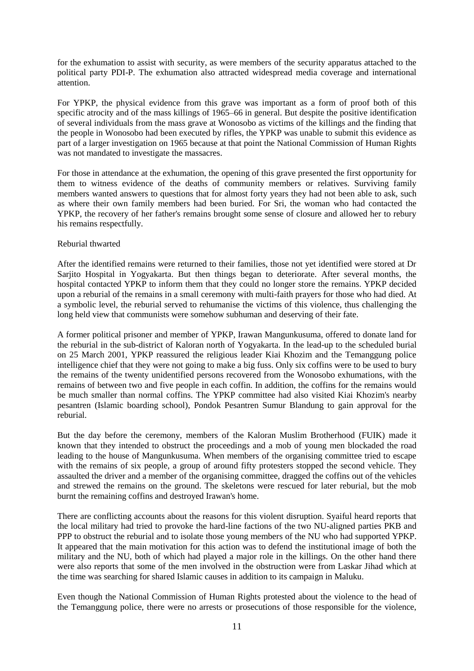for the exhumation to assist with security, as were members of the security apparatus attached to the political party PDI-P. The exhumation also attracted widespread media coverage and international attention.

For YPKP, the physical evidence from this grave was important as a form of proof both of this specific atrocity and of the mass killings of 1965–66 in general. But despite the positive identification of several individuals from the mass grave at Wonosobo as victims of the killings and the finding that the people in Wonosobo had been executed by rifles, the YPKP was unable to submit this evidence as part of a larger investigation on 1965 because at that point the National Commission of Human Rights was not mandated to investigate the massacres.

For those in attendance at the exhumation, the opening of this grave presented the first opportunity for them to witness evidence of the deaths of community members or relatives. Surviving family members wanted answers to questions that for almost forty years they had not been able to ask, such as where their own family members had been buried. For Sri, the woman who had contacted the YPKP, the recovery of her father's remains brought some sense of closure and allowed her to rebury his remains respectfully.

#### Reburial thwarted

After the identified remains were returned to their families, those not yet identified were stored at Dr Sarjito Hospital in Yogyakarta. But then things began to deteriorate. After several months, the hospital contacted YPKP to inform them that they could no longer store the remains. YPKP decided upon a reburial of the remains in a small ceremony with multi-faith prayers for those who had died. At a symbolic level, the reburial served to rehumanise the victims of this violence, thus challenging the long held view that communists were somehow subhuman and deserving of their fate.

A former political prisoner and member of YPKP, Irawan Mangunkusuma, offered to donate land for the reburial in the sub-district of Kaloran north of Yogyakarta. In the lead-up to the scheduled burial on 25 March 2001, YPKP reassured the religious leader Kiai Khozim and the Temanggung police intelligence chief that they were not going to make a big fuss. Only six coffins were to be used to bury the remains of the twenty unidentified persons recovered from the Wonosobo exhumations, with the remains of between two and five people in each coffin. In addition, the coffins for the remains would be much smaller than normal coffins. The YPKP committee had also visited Kiai Khozim's nearby pesantren (Islamic boarding school), Pondok Pesantren Sumur Blandung to gain approval for the reburial.

But the day before the ceremony, members of the Kaloran Muslim Brotherhood (FUIK) made it known that they intended to obstruct the proceedings and a mob of young men blockaded the road leading to the house of Mangunkusuma. When members of the organising committee tried to escape with the remains of six people, a group of around fifty protesters stopped the second vehicle. They assaulted the driver and a member of the organising committee, dragged the coffins out of the vehicles and strewed the remains on the ground. The skeletons were rescued for later reburial, but the mob burnt the remaining coffins and destroyed Irawan's home.

There are conflicting accounts about the reasons for this violent disruption. Syaiful heard reports that the local military had tried to provoke the hard-line factions of the two NU-aligned parties PKB and PPP to obstruct the reburial and to isolate those young members of the NU who had supported YPKP. It appeared that the main motivation for this action was to defend the institutional image of both the military and the NU, both of which had played a major role in the killings. On the other hand there were also reports that some of the men involved in the obstruction were from Laskar Jihad which at the time was searching for shared Islamic causes in addition to its campaign in Maluku.

Even though the National Commission of Human Rights protested about the violence to the head of the Temanggung police, there were no arrests or prosecutions of those responsible for the violence,